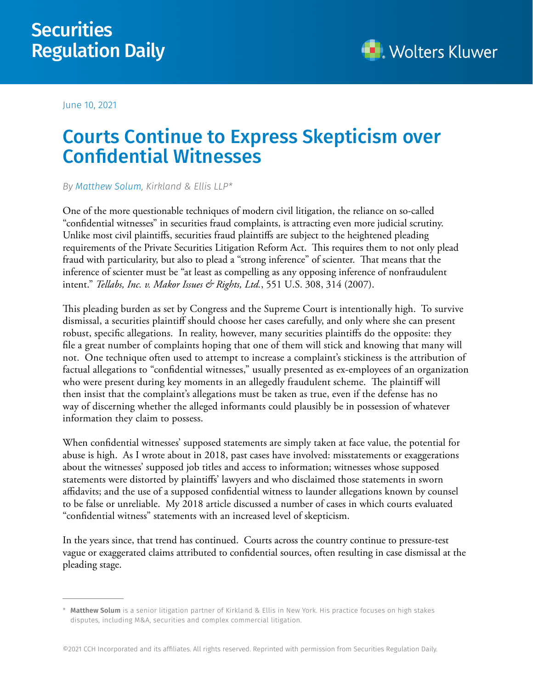## **Securities** Regulation Daily



June 10, 2021

## Courts Continue to Express Skepticism over Confidential Witnesses

*By [Matthew Solum,](https://www.kirkland.com/lawyers/s/solum-matthew-pc) Kirkland & Ellis LLP\**

One of the more questionable techniques of modern civil litigation, the reliance on so-called "confidential witnesses" in securities fraud complaints, is attracting even more judicial scrutiny. Unlike most civil plaintiffs, securities fraud plaintiffs are subject to the heightened pleading requirements of the Private Securities Litigation Reform Act. This requires them to not only plead fraud with particularity, but also to plead a "strong inference" of scienter. That means that the inference of scienter must be "at least as compelling as any opposing inference of nonfraudulent intent." *Tellabs, Inc. v. Makor Issues & Rights, Ltd.*, 551 U.S. 308, 314 (2007).

This pleading burden as set by Congress and the Supreme Court is intentionally high. To survive dismissal, a securities plaintiff should choose her cases carefully, and only where she can present robust, specific allegations. In reality, however, many securities plaintiffs do the opposite: they file a great number of complaints hoping that one of them will stick and knowing that many will not. One technique often used to attempt to increase a complaint's stickiness is the attribution of factual allegations to "confidential witnesses," usually presented as ex-employees of an organization who were present during key moments in an allegedly fraudulent scheme. The plaintiff will then insist that the complaint's allegations must be taken as true, even if the defense has no way of discerning whether the alleged informants could plausibly be in possession of whatever information they claim to possess.

When confidential witnesses' supposed statements are simply taken at face value, the potential for abuse is high. As I wrote about in 2018, past cases have involved: misstatements or exaggerations about the witnesses' supposed job titles and access to information; witnesses whose supposed statements were distorted by plaintiffs' lawyers and who disclaimed those statements in sworn affidavits; and the use of a supposed confidential witness to launder allegations known by counsel to be false or unreliable. My 2018 article discussed a number of cases in which courts evaluated "confidential witness" statements with an increased level of skepticism.

In the years since, that trend has continued. Courts across the country continue to pressure-test vague or exaggerated claims attributed to confidential sources, often resulting in case dismissal at the pleading stage.

<sup>\*</sup> Matthew Solum is a senior litigation partner of Kirkland & Ellis in New York. His practice focuses on high stakes disputes, including M&A, securities and complex commercial litigation.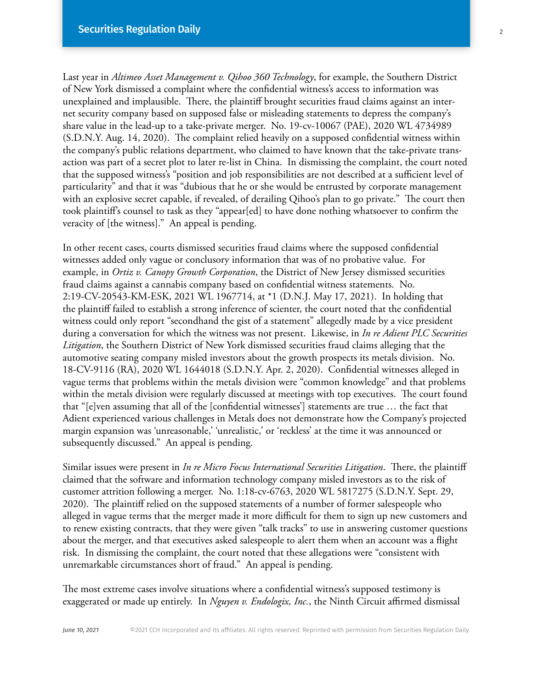Last year in *Altimeo Asset Management v. Qihoo 360 Technology*, for example, the Southern District of New York dismissed a complaint where the confidential witness's access to information was unexplained and implausible. There, the plaintiff brought securities fraud claims against an internet security company based on supposed false or misleading statements to depress the company's share value in the lead-up to a take-private merger. No. 19-cv-10067 (PAE), 2020 WL 4734989 (S.D.N.Y. Aug. 14, 2020). The complaint relied heavily on a supposed confidential witness within the company's public relations department, who claimed to have known that the take-private transaction was part of a secret plot to later re-list in China. In dismissing the complaint, the court noted that the supposed witness's "position and job responsibilities are not described at a sufficient level of particularity" and that it was "dubious that he or she would be entrusted by corporate management with an explosive secret capable, if revealed, of derailing Qihoo's plan to go private." The court then took plaintiff's counsel to task as they "appear[ed] to have done nothing whatsoever to confirm the veracity of [the witness]." An appeal is pending.

In other recent cases, courts dismissed securities fraud claims where the supposed confidential witnesses added only vague or conclusory information that was of no probative value. For example, in *Ortiz v. Canopy Growth Corporation*, the District of New Jersey dismissed securities fraud claims against a cannabis company based on confidential witness statements. No. 2:19-CV-20543-KM-ESK, 2021 WL 1967714, at \*1 (D.N.J. May 17, 2021). In holding that the plaintiff failed to establish a strong inference of scienter, the court noted that the confidential witness could only report "secondhand the gist of a statement" allegedly made by a vice president during a conversation for which the witness was not present. Likewise, in *In re Adient PLC Securities Litigation*, the Southern District of New York dismissed securities fraud claims alleging that the automotive seating company misled investors about the growth prospects its metals division. No. 18-CV-9116 (RA), 2020 WL 1644018 (S.D.N.Y. Apr. 2, 2020). Confidential witnesses alleged in vague terms that problems within the metals division were "common knowledge" and that problems within the metals division were regularly discussed at meetings with top executives. The court found that "[e]ven assuming that all of the [confidential witnesses'] statements are true … the fact that Adient experienced various challenges in Metals does not demonstrate how the Company's projected margin expansion was 'unreasonable,' 'unrealistic,' or 'reckless' at the time it was announced or subsequently discussed." An appeal is pending.

Similar issues were present in *In re Micro Focus International Securities Litigation*. There, the plaintiff claimed that the software and information technology company misled investors as to the risk of customer attrition following a merger. No. 1:18-cv-6763, 2020 WL 5817275 (S.D.N.Y. Sept. 29, 2020). The plaintiff relied on the supposed statements of a number of former salespeople who alleged in vague terms that the merger made it more difficult for them to sign up new customers and to renew existing contracts, that they were given "talk tracks" to use in answering customer questions about the merger, and that executives asked salespeople to alert them when an account was a flight risk. In dismissing the complaint, the court noted that these allegations were "consistent with unremarkable circumstances short of fraud." An appeal is pending.

The most extreme cases involve situations where a confidential witness's supposed testimony is exaggerated or made up entirely. In *Nguyen v. Endologix, Inc.*, the Ninth Circuit affirmed dismissal